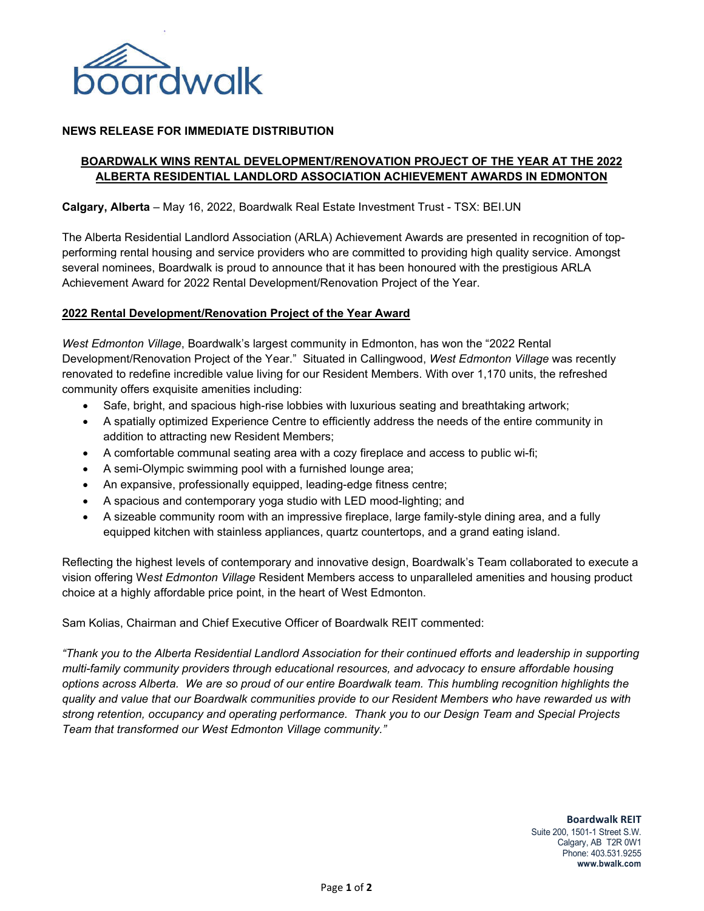

### **NEWS RELEASE FOR IMMEDIATE DISTRIBUTION**

# **BOARDWALK WINS RENTAL DEVELOPMENT/RENOVATION PROJECT OF THE YEAR AT THE 2022 ALBERTA RESIDENTIAL LANDLORD ASSOCIATION ACHIEVEMENT AWARDS IN EDMONTON**

**Calgary, Alberta** – May 16, 2022, Boardwalk Real Estate Investment Trust - TSX: BEI.UN

The Alberta Residential Landlord Association (ARLA) Achievement Awards are presented in recognition of topperforming rental housing and service providers who are committed to providing high quality service. Amongst several nominees, Boardwalk is proud to announce that it has been honoured with the prestigious ARLA Achievement Award for 2022 Rental Development/Renovation Project of the Year.

#### **2022 Rental Development/Renovation Project of the Year Award**

*West Edmonton Village*, Boardwalk's largest community in Edmonton, has won the "2022 Rental Development/Renovation Project of the Year." Situated in Callingwood, *West Edmonton Village* was recently renovated to redefine incredible value living for our Resident Members. With over 1,170 units, the refreshed community offers exquisite amenities including:

- Safe, bright, and spacious high-rise lobbies with luxurious seating and breathtaking artwork;
- A spatially optimized Experience Centre to efficiently address the needs of the entire community in addition to attracting new Resident Members;
- A comfortable communal seating area with a cozy fireplace and access to public wi-fi;
- A semi-Olympic swimming pool with a furnished lounge area;
- An expansive, professionally equipped, leading-edge fitness centre;
- A spacious and contemporary yoga studio with LED mood-lighting; and
- A sizeable community room with an impressive fireplace, large family-style dining area, and a fully equipped kitchen with stainless appliances, quartz countertops, and a grand eating island.

Reflecting the highest levels of contemporary and innovative design, Boardwalk's Team collaborated to execute a vision offering W*est Edmonton Village* Resident Members access to unparalleled amenities and housing product choice at a highly affordable price point, in the heart of West Edmonton.

Sam Kolias, Chairman and Chief Executive Officer of Boardwalk REIT commented:

*"Thank you to the Alberta Residential Landlord Association for their continued efforts and leadership in supporting multi-family community providers through educational resources, and advocacy to ensure affordable housing options across Alberta. We are so proud of our entire Boardwalk team. This humbling recognition highlights the quality and value that our Boardwalk communities provide to our Resident Members who have rewarded us with strong retention, occupancy and operating performance. Thank you to our Design Team and Special Projects Team that transformed our West Edmonton Village community."*

> **Boardwalk REIT** Suite 200, 1501-1 Street S.W. Calgary, AB T2R 0W1 Phone: 403.531.9255 **www.bwalk.com**